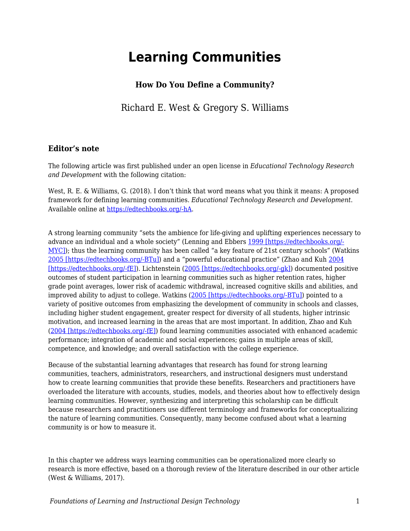# **Learning Communities**

### **How Do You Define a Community?**

Richard E. West & Gregory S. Williams

#### **Editor's note**

The following article was first published under an open license in *Educational Technology Research and Development* with the following citation:

West, R. E. & Williams, G. (2018). I don't think that word means what you think it means: A proposed framework for defining learning communities. *Educational Technology Research and Development*. Available online at [https://edtechbooks.org/-hA](https://link.springer.com/article/10.1007/s11423-017-9535-0).

A strong learning community "sets the ambience for life-giving and uplifting experiences necessary to advance an individual and a whole society" (Lenning and Ebbers [1999 \[https://edtechbooks.org/-](https://link.springer.com/article/10.1007/s11423-017-9535-0#CR27) [MYC\]\)](https://link.springer.com/article/10.1007/s11423-017-9535-0#CR27); thus the learning community has been called "a key feature of 21st century schools" (Watkins [2005 \[https://edtechbooks.org/-BTu\]\)](https://link.springer.com/article/10.1007/s11423-017-9535-0#CR44) and a "powerful educational practice" (Zhao and Kuh [2004](https://link.springer.com/article/10.1007/s11423-017-9535-0#CR51) [\[https://edtechbooks.org/-fE\]](https://link.springer.com/article/10.1007/s11423-017-9535-0#CR51)). Lichtenstein ([2005 \[https://edtechbooks.org/-gk\]\)](https://link.springer.com/article/10.1007/s11423-017-9535-0#CR28) documented positive outcomes of student participation in learning communities such as higher retention rates, higher grade point averages, lower risk of academic withdrawal, increased cognitive skills and abilities, and improved ability to adjust to college. Watkins [\(2005 \[https://edtechbooks.org/-BTu\]](https://link.springer.com/article/10.1007/s11423-017-9535-0#CR44)) pointed to a variety of positive outcomes from emphasizing the development of community in schools and classes, including higher student engagement, greater respect for diversity of all students, higher intrinsic motivation, and increased learning in the areas that are most important. In addition, Zhao and Kuh ([2004 \[https://edtechbooks.org/-fE\]\)](https://link.springer.com/article/10.1007/s11423-017-9535-0#CR51) found learning communities associated with enhanced academic performance; integration of academic and social experiences; gains in multiple areas of skill, competence, and knowledge; and overall satisfaction with the college experience.

Because of the substantial learning advantages that research has found for strong learning communities, teachers, administrators, researchers, and instructional designers must understand how to create learning communities that provide these benefits. Researchers and practitioners have overloaded the literature with accounts, studies, models, and theories about how to effectively design learning communities. However, synthesizing and interpreting this scholarship can be difficult because researchers and practitioners use different terminology and frameworks for conceptualizing the nature of learning communities. Consequently, many become confused about what a learning community is or how to measure it.

In this chapter we address ways learning communities can be operationalized more clearly so research is more effective, based on a thorough review of the literature described in our other article (West & Williams, 2017).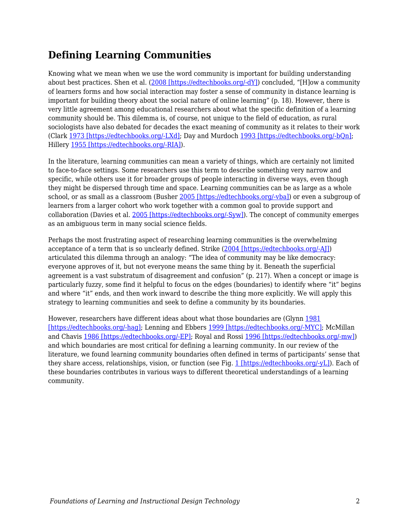## **Defining Learning Communities**

Knowing what we mean when we use the word community is important for building understanding about best practices. Shen et al. ([2008 \[https://edtechbooks.org/-dY\]\)](https://link.springer.com/article/10.1007/s11423-017-9535-0#CR40) concluded, "[H]ow a community of learners forms and how social interaction may foster a sense of community in distance learning is important for building theory about the social nature of online learning" (p. 18). However, there is very little agreement among educational researchers about what the specific definition of a learning community should be. This dilemma is, of course, not unique to the field of education, as rural sociologists have also debated for decades the exact meaning of community as it relates to their work (Clark [1973 \[https://edtechbooks.org/-LXd\];](https://link.springer.com/article/10.1007/s11423-017-9535-0#CR10) Day and Murdoch [1993 \[https://edtechbooks.org/-bQn\]](https://link.springer.com/article/10.1007/s11423-017-9535-0#CR12); Hillery [1955 \[https://edtechbooks.org/-RIA\]](https://link.springer.com/article/10.1007/s11423-017-9535-0#CR21)).

In the literature, learning communities can mean a variety of things, which are certainly not limited to face-to-face settings. Some researchers use this term to describe something very narrow and specific, while others use it for broader groups of people interacting in diverse ways, even though they might be dispersed through time and space. Learning communities can be as large as a whole school, or as small as a classroom (Busher [2005 \[https://edtechbooks.org/-vba\]\)](https://link.springer.com/article/10.1007/s11423-017-9535-0#CR7) or even a subgroup of learners from a larger cohort who work together with a common goal to provide support and collaboration (Davies et al. [2005 \[https://edtechbooks.org/-Syw\]\)](https://link.springer.com/article/10.1007/s11423-017-9535-0#CR11). The concept of community emerges as an ambiguous term in many social science fields.

Perhaps the most frustrating aspect of researching learning communities is the overwhelming acceptance of a term that is so unclearly defined. Strike ([2004 \[https://edtechbooks.org/-AJ\]](https://link.springer.com/article/10.1007/s11423-017-9535-0#CR42)) articulated this dilemma through an analogy: "The idea of community may be like democracy: everyone approves of it, but not everyone means the same thing by it. Beneath the superficial agreement is a vast substratum of disagreement and confusion" (p. 217). When a concept or image is particularly fuzzy, some find it helpful to focus on the edges (boundaries) to identify where "it" begins and where "it" ends, and then work inward to describe the thing more explicitly. We will apply this strategy to learning communities and seek to define a community by its boundaries.

However, researchers have different ideas about what those boundaries are (Glynn [1981](https://link.springer.com/article/10.1007/s11423-017-9535-0#CR16) [\[https://edtechbooks.org/-hag\]](https://link.springer.com/article/10.1007/s11423-017-9535-0#CR16); Lenning and Ebbers [1999 \[https://edtechbooks.org/-MYC\];](https://link.springer.com/article/10.1007/s11423-017-9535-0#CR27) McMillan and Chavis [1986 \[https://edtechbooks.org/-EP\]](https://link.springer.com/article/10.1007/s11423-017-9535-0#CR31); Royal and Rossi [1996 \[https://edtechbooks.org/-mw\]\)](https://link.springer.com/article/10.1007/s11423-017-9535-0#CR37) and which boundaries are most critical for defining a learning community. In our review of the literature, we found learning community boundaries often defined in terms of participants' sense that they share access, relationships, vision, or function (see Fig. [1 \[https://edtechbooks.org/-yL\]](https://link.springer.com/article/10.1007/s11423-017-9535-0#Fig1)). Each of these boundaries contributes in various ways to different theoretical understandings of a learning community.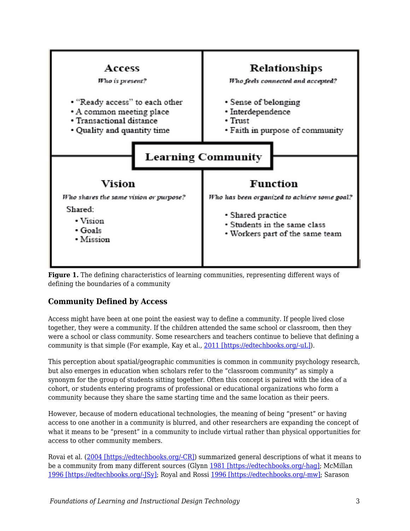



### **Community Defined by Access**

Access might have been at one point the easiest way to define a community. If people lived close together, they were a community. If the children attended the same school or classroom, then they were a school or class community. Some researchers and teachers continue to believe that defining a community is that simple (For example, Kay et al., [2011 \[https://edtechbooks.org/-uL\]\)](https://link.springer.com/article/10.1007/s11423-017-9535-0#CR23).

This perception about spatial/geographic communities is common in community psychology research, but also emerges in education when scholars refer to the "classroom community" as simply a synonym for the group of students sitting together. Often this concept is paired with the idea of a cohort, or students entering programs of professional or educational organizations who form a community because they share the same starting time and the same location as their peers.

However, because of modern educational technologies, the meaning of being "present" or having access to one another in a community is blurred, and other researchers are expanding the concept of what it means to be "present" in a community to include virtual rather than physical opportunities for access to other community members.

Rovai et al. ([2004 \[https://edtechbooks.org/-CR\]](https://link.springer.com/article/10.1007/s11423-017-9535-0#CR36)) summarized general descriptions of what it means to be a community from many different sources (Glynn [1981 \[https://edtechbooks.org/-hag\]](https://link.springer.com/article/10.1007/s11423-017-9535-0#CR16); McMillan [1996 \[https://edtechbooks.org/-JSy\]](https://link.springer.com/article/10.1007/s11423-017-9535-0#CR30); Royal and Rossi [1996 \[https://edtechbooks.org/-mw\];](https://link.springer.com/article/10.1007/s11423-017-9535-0#CR37) Sarason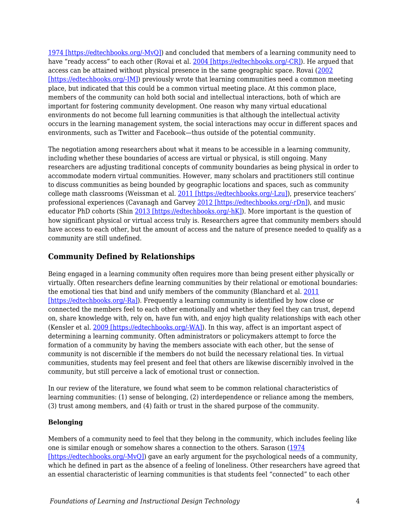[1974 \[https://edtechbooks.org/-MvQ\]\)](https://link.springer.com/article/10.1007/s11423-017-9535-0#CR38) and concluded that members of a learning community need to have "ready access" to each other (Rovai et al. [2004 \[https://edtechbooks.org/-CR\]](https://link.springer.com/article/10.1007/s11423-017-9535-0#CR36)). He argued that access can be attained without physical presence in the same geographic space. Rovai [\(2002](https://link.springer.com/article/10.1007/s11423-017-9535-0#CR35) [\[https://edtechbooks.org/-IM\]](https://link.springer.com/article/10.1007/s11423-017-9535-0#CR35)) previously wrote that learning communities need a common meeting place, but indicated that this could be a common virtual meeting place. At this common place, members of the community can hold both social and intellectual interactions, both of which are important for fostering community development. One reason why many virtual educational environments do not become full learning communities is that although the intellectual activity occurs in the learning management system, the social interactions may occur in different spaces and environments, such as Twitter and Facebook—thus outside of the potential community.

The negotiation among researchers about what it means to be accessible in a learning community, including whether these boundaries of access are virtual or physical, is still ongoing. Many researchers are adjusting traditional concepts of community boundaries as being physical in order to accommodate modern virtual communities. However, many scholars and practitioners still continue to discuss communities as being bounded by geographic locations and spaces, such as community college math classrooms (Weissman et al. [2011 \[https://edtechbooks.org/-Lzu\]](https://link.springer.com/article/10.1007/s11423-017-9535-0#CR45)), preservice teachers' professional experiences (Cavanagh and Garvey [2012 \[https://edtechbooks.org/-rDn\]](https://link.springer.com/article/10.1007/s11423-017-9535-0#CR8)), and music educator PhD cohorts (Shin [2013 \[https://edtechbooks.org/-hK\]](https://link.springer.com/article/10.1007/s11423-017-9535-0#CR41)). More important is the question of how significant physical or virtual access truly is. Researchers agree that community members should have access to each other, but the amount of access and the nature of presence needed to qualify as a community are still undefined.

## **Community Defined by Relationships**

Being engaged in a learning community often requires more than being present either physically or virtually. Often researchers define learning communities by their relational or emotional boundaries: the emotional ties that bind and unify members of the community (Blanchard et al. [2011](https://link.springer.com/article/10.1007/s11423-017-9535-0#CR3) [\[https://edtechbooks.org/-Ra\]\)](https://link.springer.com/article/10.1007/s11423-017-9535-0#CR3). Frequently a learning community is identified by how close or connected the members feel to each other emotionally and whether they feel they can trust, depend on, share knowledge with, rely on, have fun with, and enjoy high quality relationships with each other (Kensler et al. [2009 \[https://edtechbooks.org/-WA\]\)](https://link.springer.com/article/10.1007/s11423-017-9535-0#CR24). In this way, affect is an important aspect of determining a learning community. Often administrators or policymakers attempt to force the formation of a community by having the members associate with each other, but the sense of community is not discernible if the members do not build the necessary relational ties. In virtual communities, students may feel present and feel that others are likewise discernibly involved in the community, but still perceive a lack of emotional trust or connection.

In our review of the literature, we found what seem to be common relational characteristics of learning communities: (1) sense of belonging, (2) interdependence or reliance among the members, (3) trust among members, and (4) faith or trust in the shared purpose of the community.

#### **Belonging**

Members of a community need to feel that they belong in the community, which includes feeling like one is similar enough or somehow shares a connection to the others. Sarason ([1974](https://link.springer.com/article/10.1007/s11423-017-9535-0#CR38) [https://edtechbooks.org/-MvO]) gave an early argument for the psychological needs of a community, which he defined in part as the absence of a feeling of loneliness. Other researchers have agreed that an essential characteristic of learning communities is that students feel "connected" to each other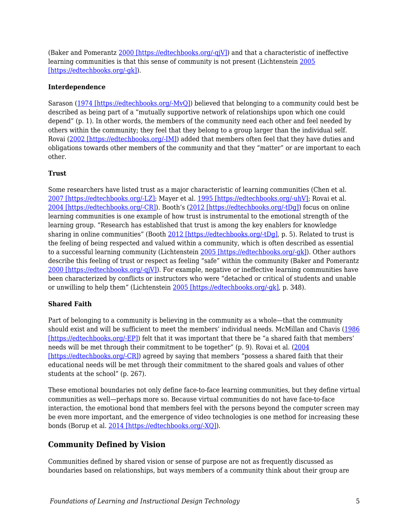(Baker and Pomerantz [2000 \[https://edtechbooks.org/-qjV\]](https://link.springer.com/article/10.1007/s11423-017-9535-0#CR2)) and that a characteristic of ineffective learning communities is that this sense of community is not present (Lichtenstein [2005](https://link.springer.com/article/10.1007/s11423-017-9535-0#CR28) [\[https://edtechbooks.org/-gk\]\)](https://link.springer.com/article/10.1007/s11423-017-9535-0#CR28).

#### **Interdependence**

Sarason [\(1974 \[https://edtechbooks.org/-MvQ\]](https://link.springer.com/article/10.1007/s11423-017-9535-0#CR38)) believed that belonging to a community could best be described as being part of a "mutually supportive network of relationships upon which one could depend" (p. 1). In other words, the members of the community need each other and feel needed by others within the community; they feel that they belong to a group larger than the individual self. Rovai ([2002 \[https://edtechbooks.org/-IM\]\)](https://link.springer.com/article/10.1007/s11423-017-9535-0#CR35) added that members often feel that they have duties and obligations towards other members of the community and that they "matter" or are important to each other.

#### **Trust**

Some researchers have listed trust as a major characteristic of learning communities (Chen et al. [2007 \[https://edtechbooks.org/-LZ\]](https://link.springer.com/article/10.1007/s11423-017-9535-0#CR9); Mayer et al. [1995 \[https://edtechbooks.org/-uhV\]](https://link.springer.com/article/10.1007/s11423-017-9535-0#CR29); Rovai et al. [2004 \[https://edtechbooks.org/-CR\]\)](https://link.springer.com/article/10.1007/s11423-017-9535-0#CR36). Booth's ([2012 \[https://edtechbooks.org/-tDg\]](https://link.springer.com/article/10.1007/s11423-017-9535-0#CR4)) focus on online learning communities is one example of how trust is instrumental to the emotional strength of the learning group. "Research has established that trust is among the key enablers for knowledge sharing in online communities" (Booth [2012 \[https://edtechbooks.org/-tDg\],](https://link.springer.com/article/10.1007/s11423-017-9535-0#CR4) p. 5). Related to trust is the feeling of being respected and valued within a community, which is often described as essential to a successful learning community (Lichtenstein [2005 \[https://edtechbooks.org/-gk\]\)](https://link.springer.com/article/10.1007/s11423-017-9535-0#CR28). Other authors describe this feeling of trust or respect as feeling "safe" within the community (Baker and Pomerantz [2000 \[https://edtechbooks.org/-qjV\]](https://link.springer.com/article/10.1007/s11423-017-9535-0#CR2)). For example, negative or ineffective learning communities have been characterized by conflicts or instructors who were "detached or critical of students and unable or unwilling to help them" (Lichtenstein [2005 \[https://edtechbooks.org/-gk\]](https://link.springer.com/article/10.1007/s11423-017-9535-0#CR28), p. 348).

#### **Shared Faith**

Part of belonging to a community is believing in the community as a whole—that the community should exist and will be sufficient to meet the members' individual needs. McMillan and Chavis [\(1986](https://link.springer.com/article/10.1007/s11423-017-9535-0#CR31) [\[https://edtechbooks.org/-EP\]](https://link.springer.com/article/10.1007/s11423-017-9535-0#CR31)) felt that it was important that there be "a shared faith that members' needs will be met through their commitment to be together" (p. 9). Rovai et al. [\(2004](https://link.springer.com/article/10.1007/s11423-017-9535-0#CR36) [\[https://edtechbooks.org/-CR\]](https://link.springer.com/article/10.1007/s11423-017-9535-0#CR36)) agreed by saying that members "possess a shared faith that their educational needs will be met through their commitment to the shared goals and values of other students at the school" (p. 267).

These emotional boundaries not only define face-to-face learning communities, but they define virtual communities as well—perhaps more so. Because virtual communities do not have face-to-face interaction, the emotional bond that members feel with the persons beyond the computer screen may be even more important, and the emergence of video technologies is one method for increasing these bonds (Borup et al. [2014 \[https://edtechbooks.org/-XQ\]](https://link.springer.com/article/10.1007/s11423-017-9535-0#CR6)).

#### **Community Defined by Vision**

Communities defined by shared vision or sense of purpose are not as frequently discussed as boundaries based on relationships, but ways members of a community think about their group are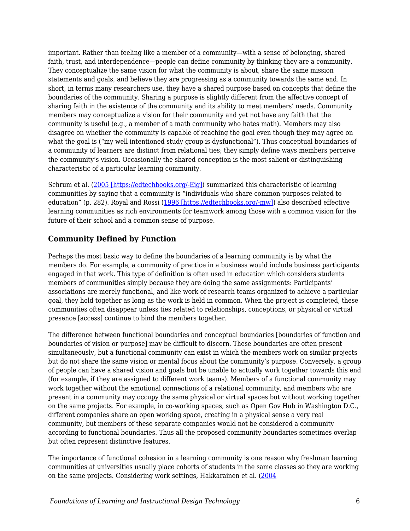important. Rather than feeling like a member of a community—with a sense of belonging, shared faith, trust, and interdependence—people can define community by thinking they are a community. They conceptualize the same vision for what the community is about, share the same mission statements and goals, and believe they are progressing as a community towards the same end. In short, in terms many researchers use, they have a shared purpose based on concepts that define the boundaries of the community. Sharing a purpose is slightly different from the affective concept of sharing faith in the existence of the community and its ability to meet members' needs. Community members may conceptualize a vision for their community and yet not have any faith that the community is useful (e.g., a member of a math community who hates math). Members may also disagree on whether the community is capable of reaching the goal even though they may agree on what the goal is ("my well intentioned study group is dysfunctional"). Thus conceptual boundaries of a community of learners are distinct from relational ties; they simply define ways members perceive the community's vision. Occasionally the shared conception is the most salient or distinguishing characteristic of a particular learning community.

Schrum et al. ([2005 \[https://edtechbooks.org/-Eig\]](https://link.springer.com/article/10.1007/s11423-017-9535-0#CR39)) summarized this characteristic of learning communities by saying that a community is "individuals who share common purposes related to education" (p. 282). Royal and Rossi ([1996 \[https://edtechbooks.org/-mw\]](https://link.springer.com/article/10.1007/s11423-017-9535-0#CR37)) also described effective learning communities as rich environments for teamwork among those with a common vision for the future of their school and a common sense of purpose.

### **Community Defined by Function**

Perhaps the most basic way to define the boundaries of a learning community is by what the members do. For example, a community of practice in a business would include business participants engaged in that work. This type of definition is often used in education which considers students members of communities simply because they are doing the same assignments: Participants' associations are merely functional, and like work of research teams organized to achieve a particular goal, they hold together as long as the work is held in common. When the project is completed, these communities often disappear unless ties related to relationships, conceptions, or physical or virtual presence [access] continue to bind the members together.

The difference between functional boundaries and conceptual boundaries [boundaries of function and boundaries of vision or purpose] may be difficult to discern. These boundaries are often present simultaneously, but a functional community can exist in which the members work on similar projects but do not share the same vision or mental focus about the community's purpose. Conversely, a group of people can have a shared vision and goals but be unable to actually work together towards this end (for example, if they are assigned to different work teams). Members of a functional community may work together without the emotional connections of a relational community, and members who are present in a community may occupy the same physical or virtual spaces but without working together on the same projects. For example, in co-working spaces, such as Open Gov Hub in Washington D.C., different companies share an open working space, creating in a physical sense a very real community, but members of these separate companies would not be considered a community according to functional boundaries. Thus all the proposed community boundaries sometimes overlap but often represent distinctive features.

The importance of functional cohesion in a learning community is one reason why freshman learning communities at universities usually place cohorts of students in the same classes so they are working on the same projects. Considering work settings, Hakkarainen et al. ([2004](https://link.springer.com/article/10.1007/s11423-017-9535-0#CR19)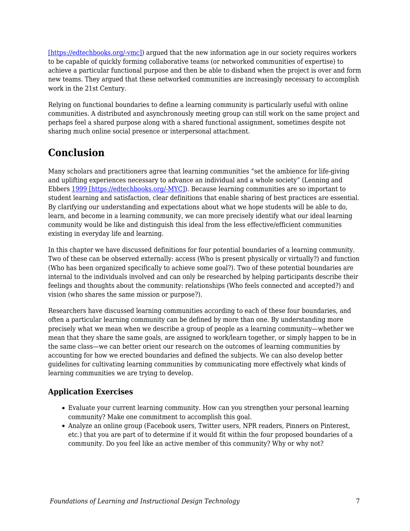[\[https://edtechbooks.org/-vmc\]](https://link.springer.com/article/10.1007/s11423-017-9535-0#CR19)) argued that the new information age in our society requires workers to be capable of quickly forming collaborative teams (or networked communities of expertise) to achieve a particular functional purpose and then be able to disband when the project is over and form new teams. They argued that these networked communities are increasingly necessary to accomplish work in the 21st Century.

Relying on functional boundaries to define a learning community is particularly useful with online communities. A distributed and asynchronously meeting group can still work on the same project and perhaps feel a shared purpose along with a shared functional assignment, sometimes despite not sharing much online social presence or interpersonal attachment.

## **Conclusion**

Many scholars and practitioners agree that learning communities "set the ambience for life-giving and uplifting experiences necessary to advance an individual and a whole society" (Lenning and Ebbers [1999 \[https://edtechbooks.org/-MYC\]](https://link.springer.com/article/10.1007/s11423-017-9535-0#CR27)). Because learning communities are so important to student learning and satisfaction, clear definitions that enable sharing of best practices are essential. By clarifying our understanding and expectations about what we hope students will be able to do, learn, and become in a learning community, we can more precisely identify what our ideal learning community would be like and distinguish this ideal from the less effective/efficient communities existing in everyday life and learning.

In this chapter we have discussed definitions for four potential boundaries of a learning community. Two of these can be observed externally: access (Who is present physically or virtually?) and function (Who has been organized specifically to achieve some goal?). Two of these potential boundaries are internal to the individuals involved and can only be researched by helping participants describe their feelings and thoughts about the community: relationships (Who feels connected and accepted?) and vision (who shares the same mission or purpose?).

Researchers have discussed learning communities according to each of these four boundaries, and often a particular learning community can be defined by more than one. By understanding more precisely what we mean when we describe a group of people as a learning community—whether we mean that they share the same goals, are assigned to work/learn together, or simply happen to be in the same class—we can better orient our research on the outcomes of learning communities by accounting for how we erected boundaries and defined the subjects. We can also develop better guidelines for cultivating learning communities by communicating more effectively what kinds of learning communities we are trying to develop.

## **Application Exercises**

- Evaluate your current learning community. How can you strengthen your personal learning community? Make one commitment to accomplish this goal.
- Analyze an online group (Facebook users, Twitter users, NPR readers, Pinners on Pinterest, etc.) that you are part of to determine if it would fit within the four proposed boundaries of a community. Do you feel like an active member of this community? Why or why not?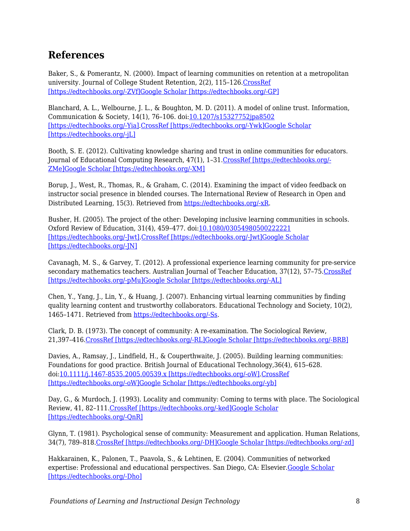## **References**

Baker, S., & Pomerantz, N. (2000). Impact of learning communities on retention at a metropolitan university. Journal of College Student Retention, 2(2), 115–126[.CrossRef](https://doi.org/10.2190/62P5-CQ2U-NTUW-DM1C) [\[https://edtechbooks.org/-ZVf\]](https://doi.org/10.2190/62P5-CQ2U-NTUW-DM1C)[Google Scholar \[https://edtechbooks.org/-GP\]](http://scholar.google.com/scholar_lookup?title=Impact%20of%20learning%20communities%20on%20retention%20at%20a%20metropolitan%20university&author=S.%20Baker&author=N.%20Pomerantz&journal=Journal%20of%20College%20Student%20Retention&volume=2&issue=2&pages=115-126&publication_year=2000)

Blanchard, A. L., Welbourne, J. L., & Boughton, M. D. (2011). A model of online trust. Information, Communication & Society, 14(1), 76–106. doi:[10.1207/s15327752jpa8502](https://doi.org/10.1207/s15327752jpa8502) [\[https://edtechbooks.org/-Yia\]](https://doi.org/10.1207/s15327752jpa8502)[.CrossRef \[https://edtechbooks.org/-Ywk\]](https://doi.org/10.1080/13691181003739633)[Google Scholar](http://scholar.google.com/scholar_lookup?title=A%20model%20of%20online%20trust&author=AL.%20Blanchard&author=JL.%20Welbourne&author=MD.%20Boughton&journal=Information%2C%20Communication%20%26%20Society&volume=14&issue=1&pages=76-106&publication_year=2011&doi=10.1207%2Fs15327752jpa8502) [\[https://edtechbooks.org/-jL\]](http://scholar.google.com/scholar_lookup?title=A%20model%20of%20online%20trust&author=AL.%20Blanchard&author=JL.%20Welbourne&author=MD.%20Boughton&journal=Information%2C%20Communication%20%26%20Society&volume=14&issue=1&pages=76-106&publication_year=2011&doi=10.1207%2Fs15327752jpa8502)

Booth, S. E. (2012). Cultivating knowledge sharing and trust in online communities for educators. Journal of Educational Computing Research, 47(1), 1–31.[CrossRef \[https://edtechbooks.org/-](https://doi.org/10.2190/EC.47.1.a) [ZMe\]](https://doi.org/10.2190/EC.47.1.a)[Google Scholar \[https://edtechbooks.org/-XM\]](http://scholar.google.com/scholar_lookup?title=Cultivating%20knowledge%20sharing%20and%20trust%20in%20online%20communities%20for%20educators&author=SE.%20Booth&journal=Journal%20of%20Educational%20Computing%20Research&volume=47&issue=1&pages=1-31&publication_year=2012)

Borup, J., West, R., Thomas, R., & Graham, C. (2014). Examining the impact of video feedback on instructor social presence in blended courses. The International Review of Research in Open and Distributed Learning, 15(3). Retrieved from [https://edtechbooks.org/-xR](http://www.irrodl.org/index.php/irrodl/article/view/1821).

Busher, H. (2005). The project of the other: Developing inclusive learning communities in schools. Oxford Review of Education, 31(4), 459–477. doi[:10.1080/03054980500222221](https://doi.org/10.1080/03054980500222221) [\[https://edtechbooks.org/-Jwt\].CrossRef \[https://edtechbooks.org/-Jwt\]](https://doi.org/10.1080/03054980500222221)[Google Scholar](http://scholar.google.com/scholar_lookup?title=The%20project%20of%20the%20other%3A%20Developing%20inclusive%20learning%20communities%20in%20schools&author=H.%20Busher&journal=Oxford%20Review%20of%20Education&volume=31&issue=4&pages=459-477&publication_year=2005&doi=10.1080%2F03054980500222221) [\[https://edtechbooks.org/-JN\]](http://scholar.google.com/scholar_lookup?title=The%20project%20of%20the%20other%3A%20Developing%20inclusive%20learning%20communities%20in%20schools&author=H.%20Busher&journal=Oxford%20Review%20of%20Education&volume=31&issue=4&pages=459-477&publication_year=2005&doi=10.1080%2F03054980500222221)

Cavanagh, M. S., & Garvey, T. (2012). A professional experience learning community for pre-service secondary mathematics teachers. Australian Journal of Teacher Education, 37(12), 57–75.[CrossRef](https://doi.org/10.14221/ajte.2012v37n12.4) [\[https://edtechbooks.org/-pMu\]](https://doi.org/10.14221/ajte.2012v37n12.4)[Google Scholar \[https://edtechbooks.org/-AL\]](http://scholar.google.com/scholar_lookup?title=A%20professional%20experience%20learning%20community%20for%20pre-service%20secondary%20mathematics%20teachers&author=MS.%20Cavanagh&author=T.%20Garvey&journal=Australian%20Journal%20of%20Teacher%20Education&volume=37&issue=12&pages=57-75&publication_year=2012)

Chen, Y., Yang, J., Lin, Y., & Huang, J. (2007). Enhancing virtual learning communities by finding quality learning content and trustworthy collaborators. Educational Technology and Society, 10(2), 1465–1471. Retrieved from [https://edtechbooks.org/-Ss.](http://dspace.lib.fcu.edu.tw/handle/2377/3722)

Clark, D. B. (1973). The concept of community: A re-examination. The Sociological Review, 21,397–416.[CrossRef \[https://edtechbooks.org/-RL\]](https://doi.org/10.1111/j.1467-954X.1973.tb00230.x)[Google Scholar \[https://edtechbooks.org/-BRB\]](http://scholar.google.com/scholar_lookup?title=The%20concept%20of%20community%3A%20A%20re-examination&author=DB.%20Clark&journal=The%20Sociological%20Review&volume=21&pages=397-416&publication_year=1973)

Davies, A., Ramsay, J., Lindfield, H., & Couperthwaite, J. (2005). Building learning communities: Foundations for good practice. British Journal of Educational Technology,36(4), 615–628. doi[:10.1111/j.1467-8535.2005.00539.x \[https://edtechbooks.org/-oW\].CrossRef](https://doi.org/10.1111/j.1467-8535.2005.00539.x) [\[https://edtechbooks.org/-oW\]](https://doi.org/10.1111/j.1467-8535.2005.00539.x)[Google Scholar \[https://edtechbooks.org/-yb\]](http://scholar.google.com/scholar_lookup?title=Building%20learning%20communities%3A%20Foundations%20for%20good%20practice&author=A.%20Davies&author=J.%20Ramsay&author=H.%20Lindfield&author=J.%20Couperthwaite&journal=British%20Journal%20of%20Educational%20Technology&volume=36&issue=4&pages=615-628&publication_year=2005&doi=10.1111%2Fj.1467-8535.2005.00539.x)

Day, G., & Murdoch, J. (1993). Locality and community: Coming to terms with place. The Sociological Review, 41, 82–111.[CrossRef \[https://edtechbooks.org/-ked\]](https://doi.org/10.1111/j.1467-954X.1993.tb02955.x)[Google Scholar](http://scholar.google.com/scholar_lookup?title=Locality%20and%20community%3A%20Coming%20to%20terms%20with%20place&author=G.%20Day&author=J.%20Murdoch&journal=The%20Sociological%20Review&volume=41&pages=82-111&publication_year=1993) [\[https://edtechbooks.org/-QnR\]](http://scholar.google.com/scholar_lookup?title=Locality%20and%20community%3A%20Coming%20to%20terms%20with%20place&author=G.%20Day&author=J.%20Murdoch&journal=The%20Sociological%20Review&volume=41&pages=82-111&publication_year=1993)

Glynn, T. (1981). Psychological sense of community: Measurement and application. Human Relations, 34(7), 789–818.[CrossRef \[https://edtechbooks.org/-DH\]](https://doi.org/10.1177/001872678103400904)[Google Scholar \[https://edtechbooks.org/-zd\]](http://scholar.google.com/scholar_lookup?title=Psychological%20sense%20of%20community%3A%20Measurement%20and%20application&author=T.%20Glynn&journal=Human%20Relations&volume=34&issue=7&pages=789-818&publication_year=1981)

Hakkarainen, K., Palonen, T., Paavola, S., & Lehtinen, E. (2004). Communities of networked expertise: Professional and educational perspectives. San Diego, CA: Elsevier.[Google Scholar](http://scholar.google.com/scholar_lookup?title=Communities%20of%20networked%20expertise%3A%20Professional%20and%20educational%20perspectives&author=K.%20Hakkarainen&author=T.%20Palonen&author=S.%20Paavola&author=E.%20Lehtinen&publication_year=2004) [\[https://edtechbooks.org/-Dho\]](http://scholar.google.com/scholar_lookup?title=Communities%20of%20networked%20expertise%3A%20Professional%20and%20educational%20perspectives&author=K.%20Hakkarainen&author=T.%20Palonen&author=S.%20Paavola&author=E.%20Lehtinen&publication_year=2004)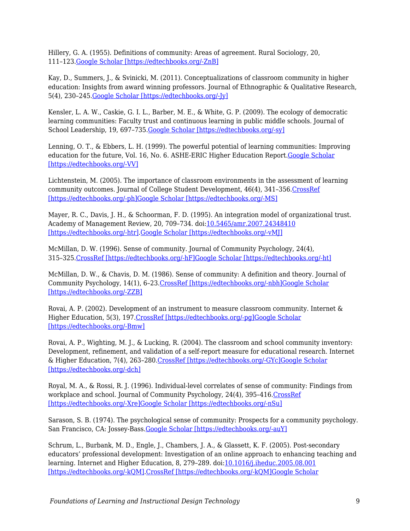Hillery, G. A. (1955). Definitions of community: Areas of agreement. Rural Sociology, 20, 111–123.[Google Scholar \[https://edtechbooks.org/-ZnB\]](http://scholar.google.com/scholar_lookup?title=Definitions%20of%20community%3A%20Areas%20of%20agreement&author=GA.%20Hillery&journal=Rural%20Sociology&volume=20&pages=111-123&publication_year=1955)

Kay, D., Summers, J., & Svinicki, M. (2011). Conceptualizations of classroom community in higher education: Insights from award winning professors. Journal of Ethnographic & Qualitative Research, 5(4), 230–245.[Google Scholar \[https://edtechbooks.org/-Jy\]](http://scholar.google.com/scholar_lookup?title=Conceptualizations%20of%20classroom%20community%20in%20higher%20education%3A%20Insights%20from%20award%20winning%20professors&author=D.%20Kay&author=J.%20Summers&author=M.%20Svinicki&journal=Journal%20of%20Ethnographic%20%26%20Qualitative%20Research&volume=5&issue=4&pages=230-245&publication_year=2011)

Kensler, L. A. W., Caskie, G. I. L., Barber, M. E., & White, G. P. (2009). The ecology of democratic learning communities: Faculty trust and continuous learning in public middle schools. Journal of School Leadership, 19, 697–735[.Google Scholar \[https://edtechbooks.org/-sy\]](http://scholar.google.com/scholar_lookup?title=The%20ecology%20of%20democratic%20learning%20communities%3A%20Faculty%20trust%20and%20continuous%20learning%20in%20public%20middle%20schools&author=LAW.%20Kensler&author=GIL.%20Caskie&author=ME.%20Barber&author=GP.%20White&journal=Journal%20of%20School%20Leadership&volume=19&pages=697-735&publication_year=2009)

Lenning, O. T., & Ebbers, L. H. (1999). The powerful potential of learning communities: Improving education for the future, Vol. 16, No. 6. ASHE-ERIC Higher Education Report. Google Scholar [\[https://edtechbooks.org/-VV\]](https://scholar.google.com/scholar?q=Lenning%2C%20O.%20T.%2C%20%26%20Ebbers%2C%20L.%20H.%20%281999%29.%20The%20powerful%20potential%20of%20learning%20communities%3A%20Improving%20education%20for%20the%20future%2C%20Vol.%2016%2C%20No.%206.%20ASHE-ERIC%20Higher%20Education%20Report.)

Lichtenstein, M. (2005). The importance of classroom environments in the assessment of learning community outcomes. Journal of College Student Development, 46(4), 341–356[.CrossRef](https://doi.org/10.1353/csd.2005.0038) [\[https://edtechbooks.org/-ph\]](https://doi.org/10.1353/csd.2005.0038)[Google Scholar \[https://edtechbooks.org/-MS\]](http://scholar.google.com/scholar_lookup?title=The%20importance%20of%20classroom%20environments%20in%20the%20assessment%20of%20learning%20community%20outcomes&author=M.%20Lichtenstein&journal=Journal%20of%20College%20Student%20Development&volume=46&issue=4&pages=341-356&publication_year=2005)

Mayer, R. C., Davis, J. H., & Schoorman, F. D. (1995). An integration model of organizational trust. Academy of Management Review, 20, 709-734. doi: 10.5465/amr. 2007. 24348410 [\[https://edtechbooks.org/-htr\]](https://doi.org/10.5465/amr.2007.24348410).[Google Scholar \[https://edtechbooks.org/-vMJ\]](http://scholar.google.com/scholar_lookup?title=An%20integration%20model%20of%20organizational%20trust&author=RC.%20Mayer&author=JH.%20Davis&author=FD.%20Schoorman&journal=Academy%20of%20Management%20Review&volume=20&pages=709-734&publication_year=1995&doi=10.5465%2Famr.2007.24348410)

McMillan, D. W. (1996). Sense of community. Journal of Community Psychology, 24(4), 315–325.[CrossRef \[https://edtechbooks.org/-hF\]](https://doi.org/10.1002/(SICI)1520-6629(199610)24%3A4%3C315%3A%3AAID-JCOP2%3E3.0.CO%3B2-T)[Google Scholar \[https://edtechbooks.org/-ht\]](http://scholar.google.com/scholar_lookup?title=Sense%20of%20community&author=DW.%20McMillan&journal=Journal%20of%20Community%20Psychology&volume=24&issue=4&pages=315-325&publication_year=1996)

McMillan, D. W., & Chavis, D. M. (1986). Sense of community: A definition and theory. Journal of Community Psychology, 14(1), 6–23.[CrossRef \[https://edtechbooks.org/-nbh\]](https://doi.org/10.1002/1520-6629(198601)14%3A1%3C6%3A%3AAID-JCOP2290140103%3E3.0.CO%3B2-I)[Google Scholar](http://scholar.google.com/scholar_lookup?title=Sense%20of%20community%3A%20A%20definition%20and%20theory&author=DW.%20McMillan&author=DM.%20Chavis&journal=Journal%20of%20Community%20Psychology&volume=14&issue=1&pages=6-23&publication_year=1986) [\[https://edtechbooks.org/-ZZB\]](http://scholar.google.com/scholar_lookup?title=Sense%20of%20community%3A%20A%20definition%20and%20theory&author=DW.%20McMillan&author=DM.%20Chavis&journal=Journal%20of%20Community%20Psychology&volume=14&issue=1&pages=6-23&publication_year=1986)

Rovai, A. P. (2002). Development of an instrument to measure classroom community. Internet & Higher Education, 5(3), 197. [CrossRef \[https://edtechbooks.org/-pg\]](https://doi.org/10.1016/S1096-7516(02)00102-1)[Google Scholar](http://scholar.google.com/scholar_lookup?title=Development%20of%20an%20instrument%20to%20measure%20classroom%20community&author=AP.%20Rovai&journal=Internet%20%26%20Higher%20Education&volume=5&issue=3&pages=197&publication_year=2002) [\[https://edtechbooks.org/-Bmw\]](http://scholar.google.com/scholar_lookup?title=Development%20of%20an%20instrument%20to%20measure%20classroom%20community&author=AP.%20Rovai&journal=Internet%20%26%20Higher%20Education&volume=5&issue=3&pages=197&publication_year=2002)

Rovai, A. P., Wighting, M. J., & Lucking, R. (2004). The classroom and school community inventory: Development, refinement, and validation of a self-report measure for educational research. Internet & Higher Education, 7(4), 263–280[.CrossRef \[https://edtechbooks.org/-GYc\]](https://doi.org/10.1016/j.iheduc.2004.09.001)[Google Scholar](http://scholar.google.com/scholar_lookup?title=The%20classroom%20and%20school%20community%20inventory%3A%20Development%2C%20refinement%2C%20and%20validation%20of%20a%20self-report%20measure%20for%20educational%20research&author=AP.%20Rovai&author=MJ.%20Wighting&author=R.%20Lucking&journal=Internet%20%26%20Higher%20Education&volume=7&issue=4&pages=263-280&publication_year=2004) [\[https://edtechbooks.org/-dch\]](http://scholar.google.com/scholar_lookup?title=The%20classroom%20and%20school%20community%20inventory%3A%20Development%2C%20refinement%2C%20and%20validation%20of%20a%20self-report%20measure%20for%20educational%20research&author=AP.%20Rovai&author=MJ.%20Wighting&author=R.%20Lucking&journal=Internet%20%26%20Higher%20Education&volume=7&issue=4&pages=263-280&publication_year=2004)

Royal, M. A., & Rossi, R. J. (1996). Individual-level correlates of sense of community: Findings from workplace and school. Journal of Community Psychology, 24(4), 395-416[.CrossRef](https://doi.org/10.1002/(SICI)1520-6629(199610)24%3A4%3C395%3A%3AAID-JCOP8%3E3.0.CO%3B2-T) [\[https://edtechbooks.org/-Xre\]](https://doi.org/10.1002/(SICI)1520-6629(199610)24%3A4%3C395%3A%3AAID-JCOP8%3E3.0.CO%3B2-T)[Google Scholar \[https://edtechbooks.org/-nSu\]](http://scholar.google.com/scholar_lookup?title=Individual-level%20correlates%20of%20sense%20of%20community%3A%20Findings%20from%20workplace%20and%20school&author=MA.%20Royal&author=RJ.%20Rossi&journal=Journal%20of%20Community%20Psychology&volume=24&issue=4&pages=395-416&publication_year=1996)

Sarason, S. B. (1974). The psychological sense of community: Prospects for a community psychology. San Francisco, CA: Jossey-Bass.[Google Scholar \[https://edtechbooks.org/-auY\]](http://scholar.google.com/scholar_lookup?title=The%20psychological%20sense%20of%20community%3A%20Prospects%20for%20a%20community%20psychology&author=SB.%20Sarason&publication_year=1974)

Schrum, L., Burbank, M. D., Engle, J., Chambers, J. A., & Glassett, K. F. (2005). Post-secondary educators' professional development: Investigation of an online approach to enhancing teaching and learning. Internet and Higher Education, 8, 279–289. doi:[10.1016/j.iheduc.2005.08.001](https://doi.org/10.1016/j.iheduc.2005.08.001) [\[https://edtechbooks.org/-kQM\].CrossRef \[https://edtechbooks.org/-kQM\]](https://doi.org/10.1016/j.iheduc.2005.08.001)[Google Scholar](http://scholar.google.com/scholar_lookup?title=Post-secondary%20educators%E2%80%99%20professional%20development%3A%20Investigation%20of%20an%20online%20approach%20to%20enhancing%20teaching%20and%20learning&author=L.%20Schrum&author=MD.%20Burbank&author=J.%20Engle&author=JA.%20Chambers&author=KF.%20Glassett&journal=Internet%20and%20Higher%20Education&volume=8&pages=279-289&publication_year=2005&doi=10.1016%2Fj.iheduc.2005.08.001)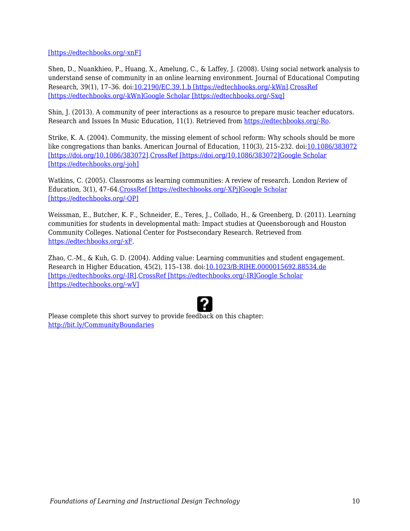[\[https://edtechbooks.org/-xnF\]](http://scholar.google.com/scholar_lookup?title=Post-secondary%20educators%E2%80%99%20professional%20development%3A%20Investigation%20of%20an%20online%20approach%20to%20enhancing%20teaching%20and%20learning&author=L.%20Schrum&author=MD.%20Burbank&author=J.%20Engle&author=JA.%20Chambers&author=KF.%20Glassett&journal=Internet%20and%20Higher%20Education&volume=8&pages=279-289&publication_year=2005&doi=10.1016%2Fj.iheduc.2005.08.001)

Shen, D., Nuankhieo, P., Huang, X., Amelung, C., & Laffey, J. (2008). Using social network analysis to understand sense of community in an online learning environment. Journal of Educational Computing Research, 39(1), 17–36. doi[:10.2190/EC.39.1.b \[https://edtechbooks.org/-kWn\].CrossRef](https://doi.org/10.2190/EC.39.1.b) [\[https://edtechbooks.org/-kWn\]](https://doi.org/10.2190/EC.39.1.b)[Google Scholar \[https://edtechbooks.org/-Sxq\]](http://scholar.google.com/scholar_lookup?title=Using%20social%20network%20analysis%20to%20understand%20sense%20of%20community%20in%20an%20online%20learning%20environment&author=D.%20Shen&author=P.%20Nuankhieo&author=X.%20Huang&author=C.%20Amelung&author=J.%20Laffey&journal=Journal%20of%20Educational%20Computing%20Research&volume=39&issue=1&pages=17-36&publication_year=2008&doi=10.2190%2FEC.39.1.b)

Shin, J. (2013). A community of peer interactions as a resource to prepare music teacher educators. Research and Issues In Music Education, 11(1). Retrieved from [https://edtechbooks.org/-Ro](http://www.stthomas.edu/rimeonline/vol11/shin.htm).

Strike, K. A. (2004). Community, the missing element of school reform: Why schools should be more like congregations than banks. American Journal of Education, 110(3), 215-232. doi:[10.1086/383072](https://doi.org/10.1086/383072) [\[https://doi.org/10.1086/383072\].CrossRef \[https://doi.org/10.1086/383072\]](https://doi.org/10.1086/383072)[Google Scholar](http://scholar.google.com/scholar_lookup?title=Community%2C%20the%20missing%20element%20of%20school%20reform%3A%20Why%20schools%20should%20be%20more%20like%20congregations%20than%20banks&author=KA.%20Strike&journal=American%20Journal%20of%20Education&volume=110&issue=3&pages=215-232&publication_year=2004&doi=10.1086%2F383072) [\[https://edtechbooks.org/-joh\]](http://scholar.google.com/scholar_lookup?title=Community%2C%20the%20missing%20element%20of%20school%20reform%3A%20Why%20schools%20should%20be%20more%20like%20congregations%20than%20banks&author=KA.%20Strike&journal=American%20Journal%20of%20Education&volume=110&issue=3&pages=215-232&publication_year=2004&doi=10.1086%2F383072)

Watkins, C. (2005). Classrooms as learning communities: A review of research. London Review of Education, 3(1), 47–64[.CrossRef \[https://edtechbooks.org/-XPj\]](https://doi.org/10.1080/14748460500036276)[Google Scholar](http://scholar.google.com/scholar_lookup?title=Classrooms%20as%20learning%20communities%3A%20A%20review%20of%20research&author=C.%20Watkins&journal=London%20Review%20of%20Education&volume=3&issue=1&pages=47-64&publication_year=2005) [\[https://edtechbooks.org/-QP\]](http://scholar.google.com/scholar_lookup?title=Classrooms%20as%20learning%20communities%3A%20A%20review%20of%20research&author=C.%20Watkins&journal=London%20Review%20of%20Education&volume=3&issue=1&pages=47-64&publication_year=2005)

Weissman, E., Butcher, K. F., Schneider, E., Teres, J., Collado, H., & Greenberg, D. (2011). Learning communities for students in developmental math: Impact studies at Queensborough and Houston Community Colleges. National Center for Postsecondary Research. Retrieved from [https://edtechbooks.org/-xF.](http://ssrn.com/abstract=1782120)

Zhao, C.-M., & Kuh, G. D. (2004). Adding value: Learning communities and student engagement. Research in Higher Education, 45(2), 115–138. doi[:10.1023/B:RIHE.0000015692.88534.de](https://doi.org/10.1023/B%3ARIHE.0000015692.88534.de) [\[https://edtechbooks.org/-IR\].CrossRef \[https://edtechbooks.org/-IR\]](https://doi.org/10.1023/B%3ARIHE.0000015692.88534.de)[Google Scholar](http://scholar.google.com/scholar_lookup?title=Adding%20value%3A%20Learning%20communities%20and%20student%20engagement&author=C-M.%20Zhao&author=GD.%20Kuh&journal=Research%20in%20Higher%20Education&volume=45&issue=2&pages=115-138&publication_year=2004&doi=10.1023%2FB%3ARIHE.0000015692.88534.de) [\[https://edtechbooks.org/-wV\]](http://scholar.google.com/scholar_lookup?title=Adding%20value%3A%20Learning%20communities%20and%20student%20engagement&author=C-M.%20Zhao&author=GD.%20Kuh&journal=Research%20in%20Higher%20Education&volume=45&issue=2&pages=115-138&publication_year=2004&doi=10.1023%2FB%3ARIHE.0000015692.88534.de)



Please complete this short survey to provide feedback on this chapter: <http://bit.ly/CommunityBoundaries>